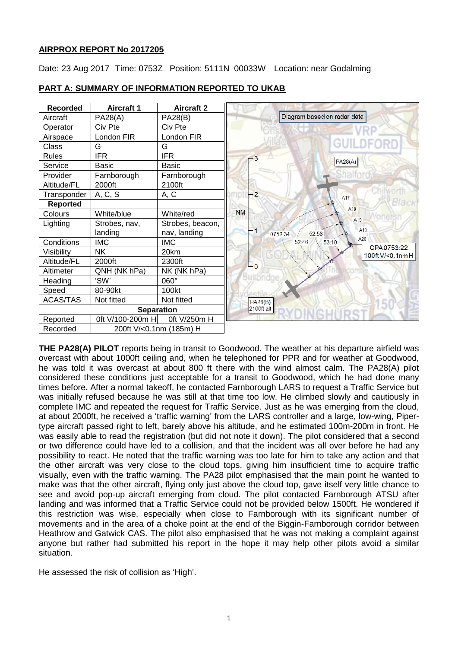# **AIRPROX REPORT No 2017205**

Date: 23 Aug 2017 Time: 0753Z Position: 5111N 00033W Location: near Godalming

| <b>Recorded</b>   | <b>Aircraft 1</b>       | <b>Aircraft 2</b> |                                     |
|-------------------|-------------------------|-------------------|-------------------------------------|
| Aircraft          | PA28(A)                 | <b>PA28(B)</b>    | Diagram based on radar data         |
| Operator          | Civ Pte                 | Civ Pte           |                                     |
| Airspace          | London FIR              | London FIR        |                                     |
| Class             | G                       | G                 | <b>GUILDFORD</b>                    |
| <b>Rules</b>      | <b>IFR</b>              | <b>IFR</b>        |                                     |
| Service           | <b>Basic</b>            | <b>Basic</b>      | PA28(A)                             |
| Provider          | Farnborough             | Farnborough       |                                     |
| Altitude/FL       | 2000ft                  | 2100ft            |                                     |
| Transponder       | A, C, S                 | A, C              | $-2$<br>A17                         |
| <b>Reported</b>   |                         |                   | A <sub>18</sub>                     |
| Colours           | White/blue              | White/red         | <b>NM</b>                           |
| Lighting          | Strobes, nav,           | Strobes, beacon,  | A <sub>19</sub>                     |
|                   | landing                 | nav, landing      | A19<br>-1<br>0752:34<br>52:58       |
| Conditions        | <b>IMC</b>              | <b>IMC</b>        | A20<br>52:46<br>53:10<br>CPA0753:22 |
| Visibility        | <b>NK</b>               | 20km              | 100ft V/<0.1nm H                    |
| Altitude/FL       | 2000ft                  | 2300ft            | $\mathsf{L}_{\mathsf{0}}$           |
| Altimeter         | QNH (NK hPa)            | NK (NK hPa)       |                                     |
| Heading           | 'SW'                    | 060°              |                                     |
| Speed             | 80-90kt                 | 100kt             |                                     |
| <b>ACAS/TAS</b>   | Not fitted              | Not fitted        | PA28(B)                             |
| <b>Separation</b> |                         |                   | 2100ft alt                          |
| Reported          | 0ft V/100-200m H        | 0ft V/250m H      |                                     |
| Recorded          | 200ft V/<0.1nm (185m) H |                   |                                     |

## **PART A: SUMMARY OF INFORMATION REPORTED TO UKAB**

**THE PA28(A) PILOT** reports being in transit to Goodwood. The weather at his departure airfield was overcast with about 1000ft ceiling and, when he telephoned for PPR and for weather at Goodwood, he was told it was overcast at about 800 ft there with the wind almost calm. The PA28(A) pilot considered these conditions just acceptable for a transit to Goodwood, which he had done many times before. After a normal takeoff, he contacted Farnborough LARS to request a Traffic Service but was initially refused because he was still at that time too low. He climbed slowly and cautiously in complete IMC and repeated the request for Traffic Service. Just as he was emerging from the cloud, at about 2000ft, he received a 'traffic warning' from the LARS controller and a large, low-wing, Pipertype aircraft passed right to left, barely above his altitude, and he estimated 100m-200m in front. He was easily able to read the registration (but did not note it down). The pilot considered that a second or two difference could have led to a collision, and that the incident was all over before he had any possibility to react. He noted that the traffic warning was too late for him to take any action and that the other aircraft was very close to the cloud tops, giving him insufficient time to acquire traffic visually, even with the traffic warning. The PA28 pilot emphasised that the main point he wanted to make was that the other aircraft, flying only just above the cloud top, gave itself very little chance to see and avoid pop-up aircraft emerging from cloud. The pilot contacted Farnborough ATSU after landing and was informed that a Traffic Service could not be provided below 1500ft. He wondered if this restriction was wise, especially when close to Farnborough with its significant number of movements and in the area of a choke point at the end of the Biggin-Farnborough corridor between Heathrow and Gatwick CAS. The pilot also emphasised that he was not making a complaint against anyone but rather had submitted his report in the hope it may help other pilots avoid a similar situation.

He assessed the risk of collision as 'High'.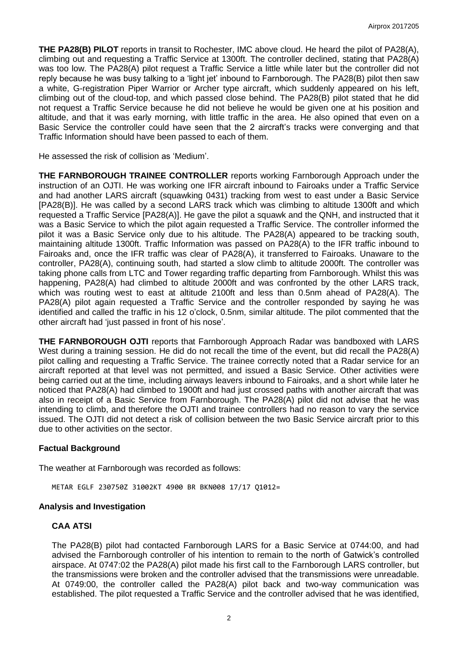**THE PA28(B) PILOT** reports in transit to Rochester, IMC above cloud. He heard the pilot of PA28(A), climbing out and requesting a Traffic Service at 1300ft. The controller declined, stating that PA28(A) was too low. The PA28(A) pilot request a Traffic Service a little while later but the controller did not reply because he was busy talking to a 'light jet' inbound to Farnborough. The PA28(B) pilot then saw a white, G-registration Piper Warrior or Archer type aircraft, which suddenly appeared on his left, climbing out of the cloud-top, and which passed close behind. The PA28(B) pilot stated that he did not request a Traffic Service because he did not believe he would be given one at his position and altitude, and that it was early morning, with little traffic in the area. He also opined that even on a Basic Service the controller could have seen that the 2 aircraft's tracks were converging and that Traffic Information should have been passed to each of them.

He assessed the risk of collision as 'Medium'.

**THE FARNBOROUGH TRAINEE CONTROLLER** reports working Farnborough Approach under the instruction of an OJTI. He was working one IFR aircraft inbound to Fairoaks under a Traffic Service and had another LARS aircraft (squawking 0431) tracking from west to east under a Basic Service [PA28(B)]. He was called by a second LARS track which was climbing to altitude 1300ft and which requested a Traffic Service [PA28(A)]. He gave the pilot a squawk and the QNH, and instructed that it was a Basic Service to which the pilot again requested a Traffic Service. The controller informed the pilot it was a Basic Service only due to his altitude. The PA28(A) appeared to be tracking south, maintaining altitude 1300ft. Traffic Information was passed on PA28(A) to the IFR traffic inbound to Fairoaks and, once the IFR traffic was clear of PA28(A), it transferred to Fairoaks. Unaware to the controller, PA28(A), continuing south, had started a slow climb to altitude 2000ft. The controller was taking phone calls from LTC and Tower regarding traffic departing from Farnborough. Whilst this was happening, PA28(A) had climbed to altitude 2000ft and was confronted by the other LARS track, which was routing west to east at altitude 2100ft and less than 0.5nm ahead of PA28(A). The PA28(A) pilot again requested a Traffic Service and the controller responded by saying he was identified and called the traffic in his 12 o'clock, 0.5nm, similar altitude. The pilot commented that the other aircraft had 'just passed in front of his nose'.

**THE FARNBOROUGH OJTI** reports that Farnborough Approach Radar was bandboxed with LARS West during a training session. He did do not recall the time of the event, but did recall the PA28(A) pilot calling and requesting a Traffic Service. The trainee correctly noted that a Radar service for an aircraft reported at that level was not permitted, and issued a Basic Service. Other activities were being carried out at the time, including airways leavers inbound to Fairoaks, and a short while later he noticed that PA28(A) had climbed to 1900ft and had just crossed paths with another aircraft that was also in receipt of a Basic Service from Farnborough. The PA28(A) pilot did not advise that he was intending to climb, and therefore the OJTI and trainee controllers had no reason to vary the service issued. The OJTI did not detect a risk of collision between the two Basic Service aircraft prior to this due to other activities on the sector.

#### **Factual Background**

The weather at Farnborough was recorded as follows:

METAR EGLF 230750Z 31002KT 4900 BR BKN008 17/17 Q1012=

#### **Analysis and Investigation**

# **CAA ATSI**

The PA28(B) pilot had contacted Farnborough LARS for a Basic Service at 0744:00, and had advised the Farnborough controller of his intention to remain to the north of Gatwick's controlled airspace. At 0747:02 the PA28(A) pilot made his first call to the Farnborough LARS controller, but the transmissions were broken and the controller advised that the transmissions were unreadable. At 0749:00, the controller called the PA28(A) pilot back and two-way communication was established. The pilot requested a Traffic Service and the controller advised that he was identified,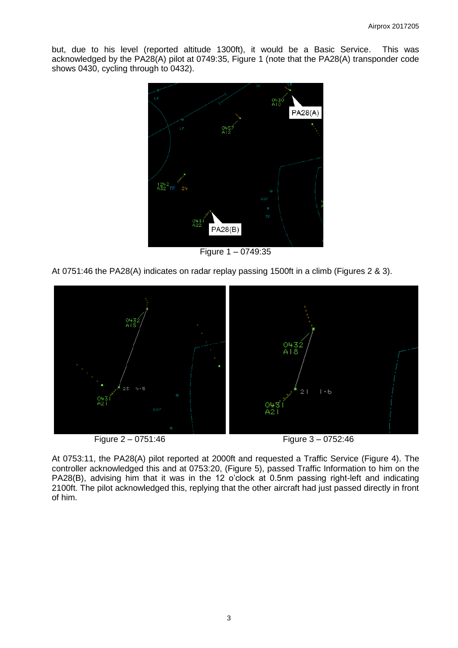but, due to his level (reported altitude 1300ft), it would be a Basic Service. This was acknowledged by the PA28(A) pilot at 0749:35, Figure 1 (note that the PA28(A) transponder code shows 0430, cycling through to 0432).



Figure 1 – 0749:35

At 0751:46 the PA28(A) indicates on radar replay passing 1500ft in a climb (Figures 2 & 3).





At 0753:11, the PA28(A) pilot reported at 2000ft and requested a Traffic Service (Figure 4). The controller acknowledged this and at 0753:20, (Figure 5), passed Traffic Information to him on the PA28(B), advising him that it was in the 12 o'clock at 0.5nm passing right-left and indicating 2100ft. The pilot acknowledged this, replying that the other aircraft had just passed directly in front of him.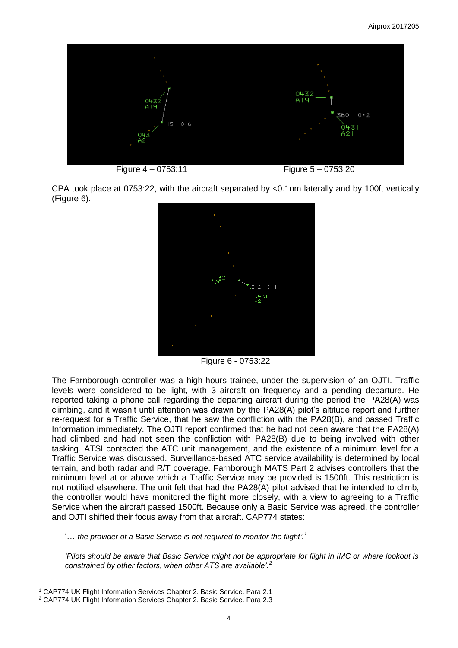

CPA took place at 0753:22, with the aircraft separated by <0.1nm laterally and by 100ft vertically (Figure 6).



Figure 6 - 0753:22

The Farnborough controller was a high-hours trainee, under the supervision of an OJTI. Traffic levels were considered to be light, with 3 aircraft on frequency and a pending departure. He reported taking a phone call regarding the departing aircraft during the period the PA28(A) was climbing, and it wasn't until attention was drawn by the PA28(A) pilot's altitude report and further re-request for a Traffic Service, that he saw the confliction with the PA28(B), and passed Traffic Information immediately. The OJTI report confirmed that he had not been aware that the PA28(A) had climbed and had not seen the confliction with PA28(B) due to being involved with other tasking. ATSI contacted the ATC unit management, and the existence of a minimum level for a Traffic Service was discussed. Surveillance-based ATC service availability is determined by local terrain, and both radar and R/T coverage. Farnborough MATS Part 2 advises controllers that the minimum level at or above which a Traffic Service may be provided is 1500ft. This restriction is not notified elsewhere. The unit felt that had the PA28(A) pilot advised that he intended to climb, the controller would have monitored the flight more closely, with a view to agreeing to a Traffic Service when the aircraft passed 1500ft. Because only a Basic Service was agreed, the controller and OJTI shifted their focus away from that aircraft. CAP774 states:

'… *the provider of a Basic Service is not required to monitor the flight'. 1*

*'Pilots should be aware that Basic Service might not be appropriate for flight in IMC or where lookout is constrained by other factors, when other ATS are available'. 2*

 $\overline{\phantom{a}}$ <sup>1</sup> CAP774 UK Flight Information Services Chapter 2. Basic Service. Para 2.1

<sup>2</sup> CAP774 UK Flight Information Services Chapter 2. Basic Service. Para 2.3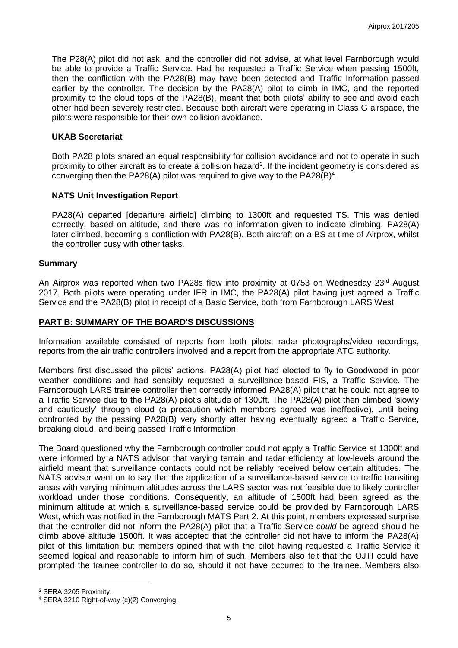The P28(A) pilot did not ask, and the controller did not advise, at what level Farnborough would be able to provide a Traffic Service. Had he requested a Traffic Service when passing 1500ft, then the confliction with the PA28(B) may have been detected and Traffic Information passed earlier by the controller. The decision by the PA28(A) pilot to climb in IMC, and the reported proximity to the cloud tops of the PA28(B), meant that both pilots' ability to see and avoid each other had been severely restricted. Because both aircraft were operating in Class G airspace, the pilots were responsible for their own collision avoidance.

## **UKAB Secretariat**

Both PA28 pilots shared an equal responsibility for collision avoidance and not to operate in such proximity to other aircraft as to create a collision hazard<sup>3</sup>. If the incident geometry is considered as converging then the PA28(A) pilot was required to give way to the PA28(B)<sup>4</sup>.

## **NATS Unit Investigation Report**

PA28(A) departed [departure airfield] climbing to 1300ft and requested TS. This was denied correctly, based on altitude, and there was no information given to indicate climbing. PA28(A) later climbed, becoming a confliction with PA28(B). Both aircraft on a BS at time of Airprox, whilst the controller busy with other tasks.

## **Summary**

An Airprox was reported when two PA28s flew into proximity at 0753 on Wednesday 23<sup>rd</sup> August 2017. Both pilots were operating under IFR in IMC, the PA28(A) pilot having just agreed a Traffic Service and the PA28(B) pilot in receipt of a Basic Service, both from Farnborough LARS West.

## **PART B: SUMMARY OF THE BOARD'S DISCUSSIONS**

Information available consisted of reports from both pilots, radar photographs/video recordings, reports from the air traffic controllers involved and a report from the appropriate ATC authority.

Members first discussed the pilots' actions. PA28(A) pilot had elected to fly to Goodwood in poor weather conditions and had sensibly requested a surveillance-based FIS, a Traffic Service. The Farnborough LARS trainee controller then correctly informed PA28(A) pilot that he could not agree to a Traffic Service due to the PA28(A) pilot's altitude of 1300ft. The PA28(A) pilot then climbed 'slowly and cautiously' through cloud (a precaution which members agreed was ineffective), until being confronted by the passing PA28(B) very shortly after having eventually agreed a Traffic Service, breaking cloud, and being passed Traffic Information.

The Board questioned why the Farnborough controller could not apply a Traffic Service at 1300ft and were informed by a NATS advisor that varying terrain and radar efficiency at low-levels around the airfield meant that surveillance contacts could not be reliably received below certain altitudes. The NATS advisor went on to say that the application of a surveillance-based service to traffic transiting areas with varying minimum altitudes across the LARS sector was not feasible due to likely controller workload under those conditions. Consequently, an altitude of 1500ft had been agreed as the minimum altitude at which a surveillance-based service could be provided by Farnborough LARS West, which was notified in the Farnborough MATS Part 2. At this point, members expressed surprise that the controller did not inform the PA28(A) pilot that a Traffic Service *could* be agreed should he climb above altitude 1500ft. It was accepted that the controller did not have to inform the PA28(A) pilot of this limitation but members opined that with the pilot having requested a Traffic Service it seemed logical and reasonable to inform him of such. Members also felt that the OJTI could have prompted the trainee controller to do so, should it not have occurred to the trainee. Members also

 $\overline{\phantom{a}}$ 

<sup>3</sup> SERA.3205 Proximity.

<sup>4</sup> SERA.3210 Right-of-way (c)(2) Converging.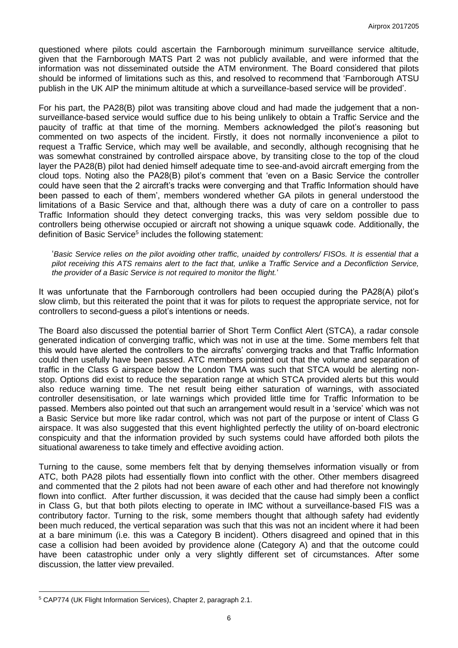questioned where pilots could ascertain the Farnborough minimum surveillance service altitude, given that the Farnborough MATS Part 2 was not publicly available, and were informed that the information was not disseminated outside the ATM environment. The Board considered that pilots should be informed of limitations such as this, and resolved to recommend that 'Farnborough ATSU publish in the UK AIP the minimum altitude at which a surveillance-based service will be provided'.

For his part, the PA28(B) pilot was transiting above cloud and had made the judgement that a nonsurveillance-based service would suffice due to his being unlikely to obtain a Traffic Service and the paucity of traffic at that time of the morning. Members acknowledged the pilot's reasoning but commented on two aspects of the incident. Firstly, it does not normally inconvenience a pilot to request a Traffic Service, which may well be available, and secondly, although recognising that he was somewhat constrained by controlled airspace above, by transiting close to the top of the cloud layer the PA28(B) pilot had denied himself adequate time to see-and-avoid aircraft emerging from the cloud tops. Noting also the PA28(B) pilot's comment that 'even on a Basic Service the controller could have seen that the 2 aircraft's tracks were converging and that Traffic Information should have been passed to each of them', members wondered whether GA pilots in general understood the limitations of a Basic Service and that, although there was a duty of care on a controller to pass Traffic Information should they detect converging tracks, this was very seldom possible due to controllers being otherwise occupied or aircraft not showing a unique squawk code. Additionally, the definition of Basic Service<sup>5</sup> includes the following statement:

'Basic Service relies on the pilot avoiding other traffic, unaided by controllers/ FISOs. It is essential that a *pilot receiving this ATS remains alert to the fact that, unlike a Traffic Service and a Deconfliction Service, the provider of a Basic Service is not required to monitor the flight.*'

It was unfortunate that the Farnborough controllers had been occupied during the PA28(A) pilot's slow climb, but this reiterated the point that it was for pilots to request the appropriate service, not for controllers to second-guess a pilot's intentions or needs.

The Board also discussed the potential barrier of Short Term Conflict Alert (STCA), a radar console generated indication of converging traffic, which was not in use at the time. Some members felt that this would have alerted the controllers to the aircrafts' converging tracks and that Traffic Information could then usefully have been passed. ATC members pointed out that the volume and separation of traffic in the Class G airspace below the London TMA was such that STCA would be alerting nonstop. Options did exist to reduce the separation range at which STCA provided alerts but this would also reduce warning time. The net result being either saturation of warnings, with associated controller desensitisation, or late warnings which provided little time for Traffic Information to be passed. Members also pointed out that such an arrangement would result in a 'service' which was not a Basic Service but more like radar control, which was not part of the purpose or intent of Class G airspace. It was also suggested that this event highlighted perfectly the utility of on-board electronic conspicuity and that the information provided by such systems could have afforded both pilots the situational awareness to take timely and effective avoiding action.

Turning to the cause, some members felt that by denying themselves information visually or from ATC, both PA28 pilots had essentially flown into conflict with the other. Other members disagreed and commented that the 2 pilots had not been aware of each other and had therefore not knowingly flown into conflict. After further discussion, it was decided that the cause had simply been a conflict in Class G, but that both pilots electing to operate in IMC without a surveillance-based FIS was a contributory factor. Turning to the risk, some members thought that although safety had evidently been much reduced, the vertical separation was such that this was not an incident where it had been at a bare minimum (i.e. this was a Category B incident). Others disagreed and opined that in this case a collision had been avoided by providence alone (Category A) and that the outcome could have been catastrophic under only a very slightly different set of circumstances. After some discussion, the latter view prevailed.

l

<sup>5</sup> CAP774 (UK Flight Information Services), Chapter 2, paragraph 2.1.